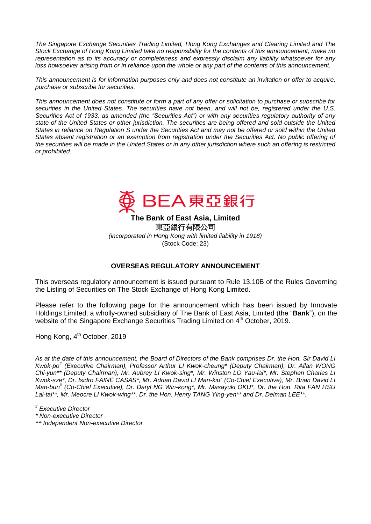*The Singapore Exchange Securities Trading Limited, Hong Kong Exchanges and Clearing Limited and The Stock Exchange of Hong Kong Limited take no responsibility for the contents of this announcement, make no representation as to its accuracy or completeness and expressly disclaim any liability whatsoever for any loss howsoever arising from or in reliance upon the whole or any part of the contents of this announcement.*

*This announcement is for information purposes only and does not constitute an invitation or offer to acquire, purchase or subscribe for securities.*

*This announcement does not constitute or form a part of any offer or solicitation to purchase or subscribe for securities in the United States. The securities have not been, and will not be, registered under the U.S. Securities Act of 1933, as amended (the "Securities Act") or with any securities regulatory authority of any state of the United States or other jurisdiction. The securities are being offered and sold outside the United States in reliance on Regulation S under the Securities Act and may not be offered or sold within the United States absent registration or an exemption from registration under the Securities Act. No public offering of the securities will be made in the United States or in any other jurisdiction where such an offering is restricted or prohibited.*



**The Bank of East Asia, Limited**  東亞銀行有限公司 *(incorporated in Hong Kong with limited liability in 1918)*

(Stock Code: 23)

## **OVERSEAS REGULATORY ANNOUNCEMENT**

This overseas regulatory announcement is issued pursuant to Rule 13.10B of the Rules Governing the Listing of Securities on The Stock Exchange of Hong Kong Limited.

Please refer to the following page for the announcement which has been issued by Innovate Holdings Limited, a wholly-owned subsidiary of The Bank of East Asia, Limited (the "**Bank**"), on the website of the Singapore Exchange Securities Trading Limited on 4<sup>th</sup> October, 2019.

Hong Kong, 4<sup>th</sup> October, 2019

*As at the date of this announcement, the Board of Directors of the Bank comprises Dr. the Hon. Sir David LI Kwok-po# (Executive Chairman), Professor Arthur LI Kwok-cheung\* (Deputy Chairman), Dr. Allan WONG Chi-yun\*\* (Deputy Chairman), Mr. Aubrey LI Kwok-sing\*, Mr. Winston LO Yau-lai\*, Mr. Stephen Charles LI Kwok-sze\*, Dr. Isidro FAINÉ CASAS\*, Mr. Adrian David LI Man-kiu# (Co-Chief Executive), Mr. Brian David LI Man-bun# (Co-Chief Executive), Dr. Daryl NG Win-kong\*, Mr. Masayuki OKU\*, Dr. the Hon. Rita FAN HSU Lai-tai\*\*, Mr. Meocre LI Kwok-wing\*\*, Dr. the Hon. Henry TANG Ying-yen\*\* and Dr. Delman LEE\*\*.*

*# Executive Director* 

*\* Non-executive Director* 

*\*\* Independent Non-executive Director*